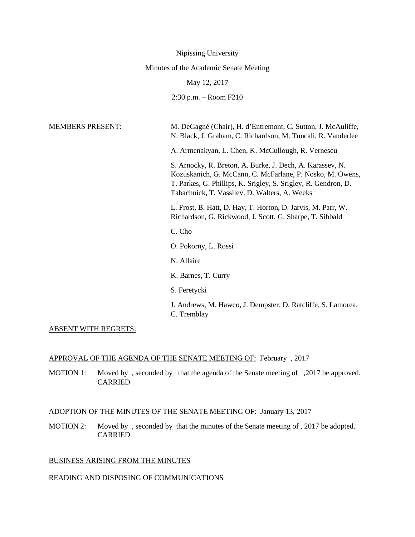| Nipissing University                   |                                                                                                                                                                                                                                           |
|----------------------------------------|-------------------------------------------------------------------------------------------------------------------------------------------------------------------------------------------------------------------------------------------|
| Minutes of the Academic Senate Meeting |                                                                                                                                                                                                                                           |
| May 12, 2017                           |                                                                                                                                                                                                                                           |
|                                        | $2:30$ p.m. $-$ Room F210                                                                                                                                                                                                                 |
|                                        |                                                                                                                                                                                                                                           |
| <b>MEMBERS PRESENT:</b>                | M. DeGagné (Chair), H. d'Entremont, C. Sutton, J. McAuliffe,<br>N. Black, J. Graham, C. Richardson, M. Tuncali, R. Vanderlee                                                                                                              |
|                                        | A. Armenakyan, L. Chen, K. McCullough, R. Vernescu                                                                                                                                                                                        |
|                                        | S. Arnocky, R. Breton, A. Burke, J. Dech, A. Karassev, N.<br>Kozuskanich, G. McCann, C. McFarlane, P. Nosko, M. Owens,<br>T. Parkes, G. Phillips, K. Srigley, S. Srigley, R. Gendron, D.<br>Tabachnick, T. Vassilev, D. Walters, A. Weeks |
|                                        | L. Frost, B. Hatt, D. Hay, T. Horton, D. Jarvis, M. Parr, W.<br>Richardson, G. Rickwood, J. Scott, G. Sharpe, T. Sibbald                                                                                                                  |
|                                        | C. Cho                                                                                                                                                                                                                                    |
|                                        | O. Pokorny, L. Rossi                                                                                                                                                                                                                      |
|                                        | N. Allaire                                                                                                                                                                                                                                |
|                                        | K. Barnes, T. Curry                                                                                                                                                                                                                       |
|                                        | S. Feretycki                                                                                                                                                                                                                              |
|                                        | J. Andrews, M. Hawco, J. Dempster, D. Ratcliffe, S. Lamorea,<br>C. Tremblay                                                                                                                                                               |

## ABSENT WITH REGRETS:

### APPROVAL OF THE AGENDA OF THE SENATE MEETING OF: February , 2017

MOTION 1: Moved by, seconded by that the agenda of the Senate meeting of , 2017 be approved. CARRIED

# ADOPTION OF THE MINUTES OF THE SENATE MEETING OF: January 13, 2017

MOTION 2: Moved by , seconded by that the minutes of the Senate meeting of , 2017 be adopted. CARRIED

### BUSINESS ARISING FROM THE MINUTES

# READING AND DISPOSING OF COMMUNICATIONS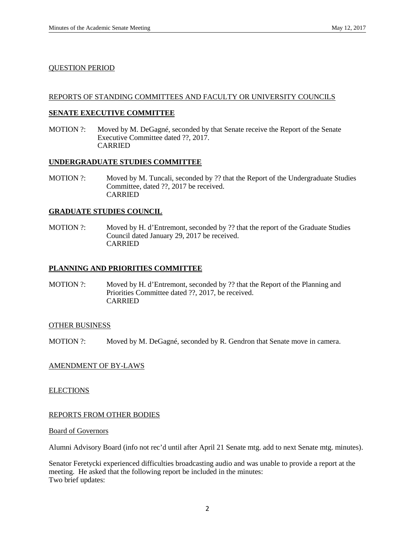### QUESTION PERIOD

### REPORTS OF STANDING COMMITTEES AND FACULTY OR UNIVERSITY COUNCILS

### **SENATE EXECUTIVE COMMITTEE**

MOTION ?: Moved by M. DeGagné, seconded by that Senate receive the Report of the Senate Executive Committee dated ??, 2017. CARRIED

### **UNDERGRADUATE STUDIES COMMITTEE**

MOTION ?: Moved by M. Tuncali, seconded by ?? that the Report of the Undergraduate Studies Committee, dated ??, 2017 be received. CARRIED

### **GRADUATE STUDIES COUNCIL**

MOTION ?: Moved by H. d'Entremont, seconded by ?? that the report of the Graduate Studies Council dated January 29, 2017 be received. CARRIED

### **PLANNING AND PRIORITIES COMMITTEE**

MOTION ?: Moved by H. d'Entremont, seconded by ?? that the Report of the Planning and Priorities Committee dated ??, 2017, be received. CARRIED

### OTHER BUSINESS

MOTION ?: Moved by M. DeGagné, seconded by R. Gendron that Senate move in camera.

### AMENDMENT OF BY-LAWS

### **ELECTIONS**

### REPORTS FROM OTHER BODIES

### Board of Governors

Alumni Advisory Board (info not rec'd until after April 21 Senate mtg. add to next Senate mtg. minutes).

Senator Feretycki experienced difficulties broadcasting audio and was unable to provide a report at the meeting. He asked that the following report be included in the minutes: Two brief updates: